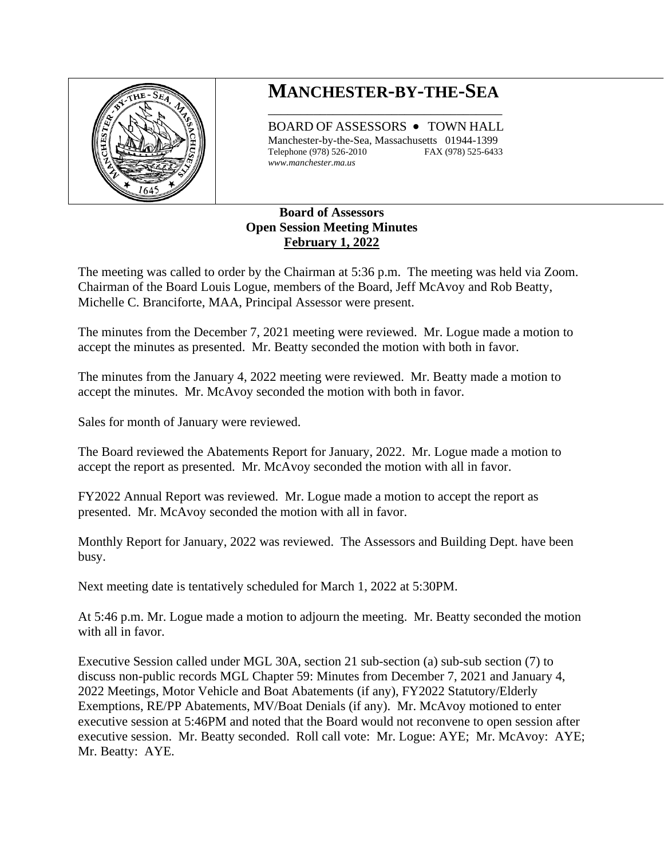

## **MANCHESTER-BY-THE-SEA** \_\_\_\_\_\_\_\_\_\_\_\_\_\_\_\_\_\_\_\_\_\_\_\_\_\_\_\_\_\_\_\_\_\_\_\_

BOARD OF ASSESSORS • TOWN HALL Manchester-by-the-Sea, Massachusetts 01944-1399 Telephone (978) 526-2010 FAX (978) 525-6433 *www.manchester.ma.us*

## **Board of Assessors Open Session Meeting Minutes February 1, 2022**

The meeting was called to order by the Chairman at 5:36 p.m. The meeting was held via Zoom. Chairman of the Board Louis Logue, members of the Board, Jeff McAvoy and Rob Beatty, Michelle C. Branciforte, MAA, Principal Assessor were present.

The minutes from the December 7, 2021 meeting were reviewed. Mr. Logue made a motion to accept the minutes as presented. Mr. Beatty seconded the motion with both in favor.

The minutes from the January 4, 2022 meeting were reviewed. Mr. Beatty made a motion to accept the minutes. Mr. McAvoy seconded the motion with both in favor.

Sales for month of January were reviewed.

The Board reviewed the Abatements Report for January, 2022. Mr. Logue made a motion to accept the report as presented. Mr. McAvoy seconded the motion with all in favor.

FY2022 Annual Report was reviewed. Mr. Logue made a motion to accept the report as presented. Mr. McAvoy seconded the motion with all in favor.

Monthly Report for January, 2022 was reviewed. The Assessors and Building Dept. have been busy.

Next meeting date is tentatively scheduled for March 1, 2022 at 5:30PM.

At 5:46 p.m. Mr. Logue made a motion to adjourn the meeting. Mr. Beatty seconded the motion with all in favor.

Executive Session called under MGL 30A, section 21 sub-section (a) sub-sub section (7) to discuss non-public records MGL Chapter 59: Minutes from December 7, 2021 and January 4, 2022 Meetings, Motor Vehicle and Boat Abatements (if any), FY2022 Statutory/Elderly Exemptions, RE/PP Abatements, MV/Boat Denials (if any). Mr. McAvoy motioned to enter executive session at 5:46PM and noted that the Board would not reconvene to open session after executive session. Mr. Beatty seconded. Roll call vote: Mr. Logue: AYE; Mr. McAvoy: AYE; Mr. Beatty: AYE.